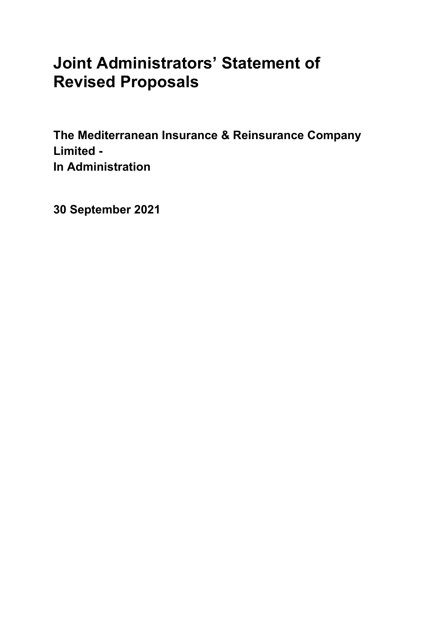# **Joint Administrators' Statement of Revised Proposals**

**The Mediterranean Insurance & Reinsurance Company Limited - In Administration**

**30 September 2021**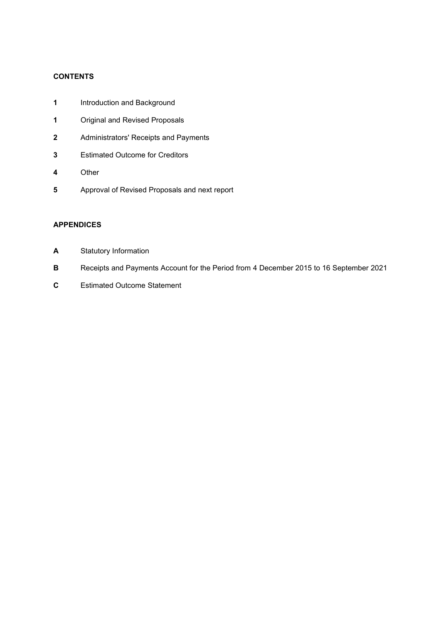# **CONTENTS**

- **1** Introduction and Background
- **1** Original and Revised Proposals
- **2** Administrators' Receipts and Payments
- **3** Estimated Outcome for Creditors
- **4** Other
- **5** Approval of Revised Proposals and next report

## **APPENDICES**

- **A** Statutory Information
- **B** Receipts and Payments Account for the Period from 4 December 2015 to 16 September 2021
- **C** Estimated Outcome Statement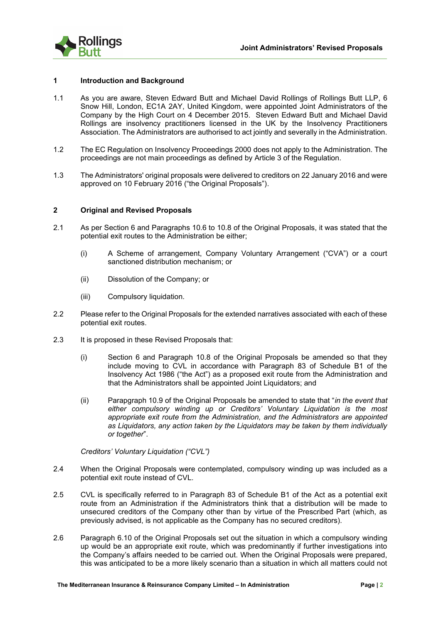

#### **1 Introduction and Background**

- 1.1 As you are aware, Steven Edward Butt and Michael David Rollings of Rollings Butt LLP, 6 Snow Hill, London, EC1A 2AY, United Kingdom, were appointed Joint Administrators of the Company by the High Court on 4 December 2015. Steven Edward Butt and Michael David Rollings are insolvency practitioners licensed in the UK by the Insolvency Practitioners Association. The Administrators are authorised to act jointly and severally in the Administration.
- 1.2 The EC Regulation on Insolvency Proceedings 2000 does not apply to the Administration. The proceedings are not main proceedings as defined by Article 3 of the Regulation.
- 1.3 The Administrators' original proposals were delivered to creditors on 22 January 2016 and were approved on 10 February 2016 ("the Original Proposals").

#### **2 Original and Revised Proposals**

- 2.1 As per Section 6 and Paragraphs 10.6 to 10.8 of the Original Proposals, it was stated that the potential exit routes to the Administration be either;
	- (i) A Scheme of arrangement, Company Voluntary Arrangement ("CVA") or a court sanctioned distribution mechanism; or
	- (ii) Dissolution of the Company; or
	- (iii) Compulsory liquidation.
- 2.2 Please refer to the Original Proposals for the extended narratives associated with each of these potential exit routes.
- 2.3 It is proposed in these Revised Proposals that:
	- (i) Section 6 and Paragraph 10.8 of the Original Proposals be amended so that they include moving to CVL in accordance with Paragraph 83 of Schedule B1 of the Insolvency Act 1986 ("the Act") as a proposed exit route from the Administration and that the Administrators shall be appointed Joint Liquidators; and
	- (ii) Parapgraph 10.9 of the Original Proposals be amended to state that "*in the event that either compulsory winding up or Creditors' Voluntary Liquidation is the most appropriate exit route from the Administration, and the Administrators are appointed as Liquidators, any action taken by the Liquidators may be taken by them individually or together*".

*Creditors' Voluntary Liquidation ("CVL")*

- 2.4 When the Original Proposals were contemplated, compulsory winding up was included as a potential exit route instead of CVL.
- 2.5 CVL is specifically referred to in Paragraph 83 of Schedule B1 of the Act as a potential exit route from an Administration if the Administrators think that a distribution will be made to unsecured creditors of the Company other than by virtue of the Prescribed Part (which, as previously advised, is not applicable as the Company has no secured creditors).
- 2.6 Paragraph 6.10 of the Original Proposals set out the situation in which a compulsory winding up would be an appropriate exit route, which was predominantly if further investigations into the Company's affairs needed to be carried out. When the Original Proposals were prepared, this was anticipated to be a more likely scenario than a situation in which all matters could not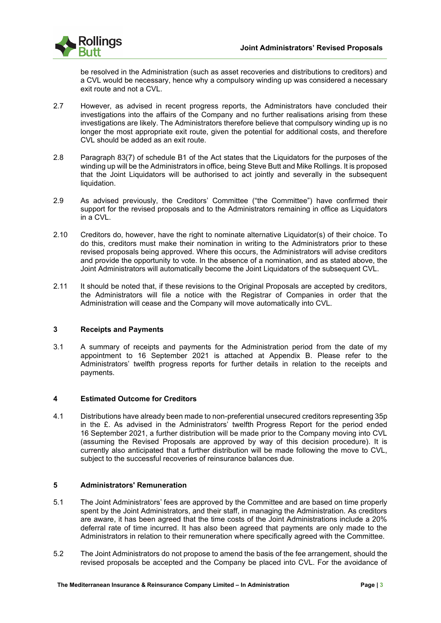

be resolved in the Administration (such as asset recoveries and distributions to creditors) and a CVL would be necessary, hence why a compulsory winding up was considered a necessary exit route and not a CVL.

- 2.7 However, as advised in recent progress reports, the Administrators have concluded their investigations into the affairs of the Company and no further realisations arising from these investigations are likely. The Administrators therefore believe that compulsory winding up is no longer the most appropriate exit route, given the potential for additional costs, and therefore CVL should be added as an exit route.
- 2.8 Paragraph 83(7) of schedule B1 of the Act states that the Liquidators for the purposes of the winding up will be the Administrators in office, being Steve Butt and Mike Rollings. It is proposed that the Joint Liquidators will be authorised to act jointly and severally in the subsequent liquidation.
- 2.9 As advised previously, the Creditors' Committee ("the Committee") have confirmed their support for the revised proposals and to the Administrators remaining in office as Liquidators in a CVL.
- 2.10 Creditors do, however, have the right to nominate alternative Liquidator(s) of their choice. To do this, creditors must make their nomination in writing to the Administrators prior to these revised proposals being approved. Where this occurs, the Administrators will advise creditors and provide the opportunity to vote. In the absence of a nomination, and as stated above, the Joint Administrators will automatically become the Joint Liquidators of the subsequent CVL.
- 2.11 It should be noted that, if these revisions to the Original Proposals are accepted by creditors, the Administrators will file a notice with the Registrar of Companies in order that the Administration will cease and the Company will move automatically into CVL.

## **3 Receipts and Payments**

3.1 A summary of receipts and payments for the Administration period from the date of my appointment to 16 September 2021 is attached at Appendix B. Please refer to the Administrators' twelfth progress reports for further details in relation to the receipts and payments.

## **4 Estimated Outcome for Creditors**

4.1 Distributions have already been made to non-preferential unsecured creditors representing 35p in the £. As advised in the Administrators' twelfth Progress Report for the period ended 16 September 2021, a further distribution will be made prior to the Company moving into CVL (assuming the Revised Proposals are approved by way of this decision procedure). It is currently also anticipated that a further distribution will be made following the move to CVL, subject to the successful recoveries of reinsurance balances due.

#### **5 Administrators' Remuneration**

- 5.1 The Joint Administrators' fees are approved by the Committee and are based on time properly spent by the Joint Administrators, and their staff, in managing the Administration. As creditors are aware, it has been agreed that the time costs of the Joint Administrations include a 20% deferral rate of time incurred. It has also been agreed that payments are only made to the Administrators in relation to their remuneration where specifically agreed with the Committee.
- 5.2 The Joint Administrators do not propose to amend the basis of the fee arrangement, should the revised proposals be accepted and the Company be placed into CVL. For the avoidance of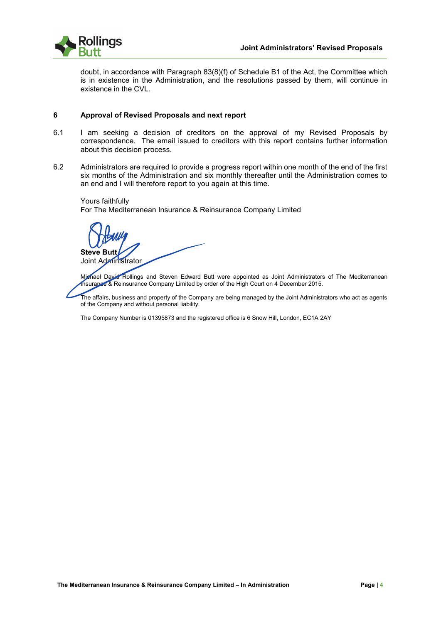

doubt, in accordance with Paragraph 83(8)(f) of Schedule B1 of the Act, the Committee which is in existence in the Administration, and the resolutions passed by them, will continue in existence in the CVL.

#### **6 Approval of Revised Proposals and next report**

- 6.1 I am seeking a decision of creditors on the approval of my Revised Proposals by correspondence. The email issued to creditors with this report contains further information about this decision process.
- 6.2 Administrators are required to provide a progress report within one month of the end of the first six months of the Administration and six monthly thereafter until the Administration comes to an end and I will therefore report to you again at this time.

Yours faithfully For The Mediterranean Insurance & Reinsurance Company Limited

**Steve Butt** Joint Administrator

Michael David Rollings and Steven Edward Butt were appointed as Joint Administrators of The Mediterranean Insurance & Reinsurance Company Limited by order of the High Court on 4 December 2015.

The affairs, business and property of the Company are being managed by the Joint Administrators who act as agents of the Company and without personal liability.

The Company Number is 01395873 and the registered office is 6 Snow Hill, London, EC1A 2AY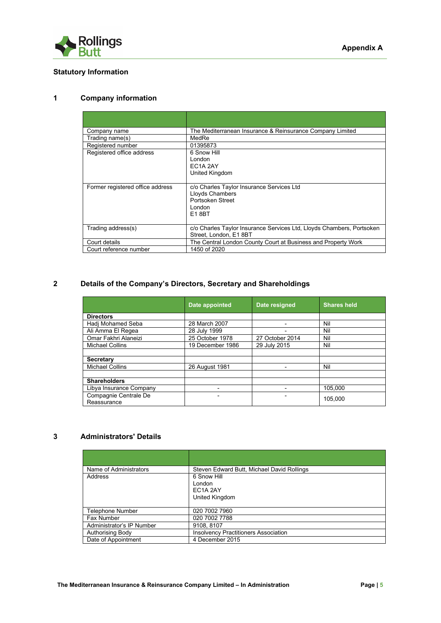

# **Statutory Information**

## **1 Company information**

| The Mediterranean Insurance & Reinsurance Company Limited                                           |
|-----------------------------------------------------------------------------------------------------|
| MedRe                                                                                               |
| 01395873                                                                                            |
| 6 Snow Hill<br>London<br>EC <sub>1</sub> A <sub>2</sub> AY<br>United Kingdom                        |
| c/o Charles Taylor Insurance Services Ltd<br>Lloyds Chambers<br>Portsoken Street<br>London<br>E18BT |
| c/o Charles Taylor Insurance Services Ltd, Lloyds Chambers, Portsoken<br>Street, London, E1 8BT     |
| The Central London County Court at Business and Property Work                                       |
| 1450 of 2020                                                                                        |
|                                                                                                     |

# **2 Details of the Company's Directors, Secretary and Shareholdings**

|                                      | Date appointed   | Date resigned   | <b>Shares held</b> |  |
|--------------------------------------|------------------|-----------------|--------------------|--|
| <b>Directors</b>                     |                  |                 |                    |  |
| Hadj Mohamed Seba                    | 28 March 2007    |                 | Nil                |  |
| Ali Amma El Regea                    | 28 July 1999     |                 | Nil                |  |
| Omar Fakhri Alaneizi                 | 25 October 1978  | 27 October 2014 | Nil                |  |
| <b>Michael Collins</b>               | 19 December 1986 | 29 July 2015    | Nil                |  |
|                                      |                  |                 |                    |  |
| <b>Secretary</b>                     |                  |                 |                    |  |
| <b>Michael Collins</b>               | 26 August 1981   |                 | Nil                |  |
|                                      |                  |                 |                    |  |
| <b>Shareholders</b>                  |                  |                 |                    |  |
| Libya Insurance Company              |                  |                 | 105.000            |  |
| Compagnie Centrale De<br>Reassurance | ۰                |                 | 105,000            |  |

## **3 Administrators' Details**

| Name of Administrators    | Steven Edward Butt, Michael David Rollings  |  |  |  |  |
|---------------------------|---------------------------------------------|--|--|--|--|
| Address                   | 6 Snow Hill                                 |  |  |  |  |
|                           | London                                      |  |  |  |  |
|                           | EC1A 2AY                                    |  |  |  |  |
|                           | United Kingdom                              |  |  |  |  |
|                           |                                             |  |  |  |  |
| Telephone Number          | 020 7002 7960                               |  |  |  |  |
| Fax Number                | 020 7002 7788                               |  |  |  |  |
| Administrator's IP Number | 9108, 8107                                  |  |  |  |  |
| <b>Authorising Body</b>   | <b>Insolvency Practitioners Association</b> |  |  |  |  |
| Date of Appointment       | 4 December 2015                             |  |  |  |  |